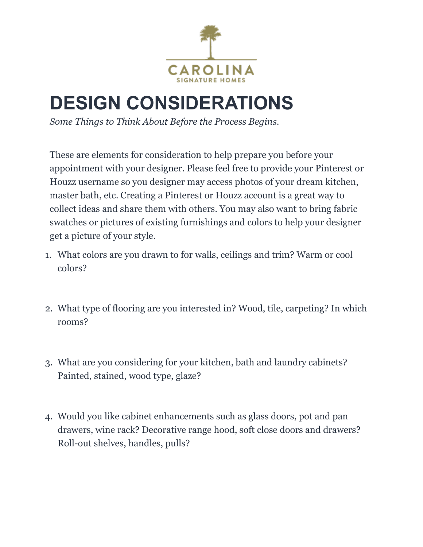

## **DESIGN CONSIDERATIONS**

*Some Things to Think About Before the Process Begins.*

These are elements for consideration to help prepare you before your appointment with your designer. Please feel free to provide your Pinterest or Houzz username so you designer may access photos of your dream kitchen, master bath, etc. Creating a Pinterest or Houzz account is a great way to collect ideas and share them with others. You may also want to bring fabric swatches or pictures of existing furnishings and colors to help your designer get a picture of your style.

- 1. What colors are you drawn to for walls, ceilings and trim? Warm or cool colors?
- 2. What type of flooring are you interested in? Wood, tile, carpeting? In which rooms?
- 3. What are you considering for your kitchen, bath and laundry cabinets? Painted, stained, wood type, glaze?
- 4. Would you like cabinet enhancements such as glass doors, pot and pan drawers, wine rack? Decorative range hood, soft close doors and drawers? Roll-out shelves, handles, pulls?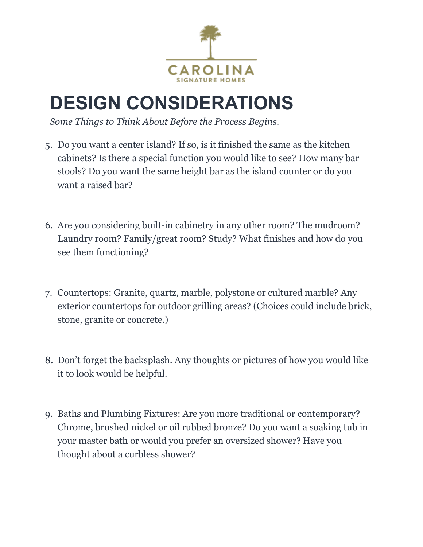

## **DESIGN CONSIDERATIONS**

*Some Things to Think About Before the Process Begins.*

- 5. Do you want a center island? If so, is it finished the same as the kitchen cabinets? Is there a special function you would like to see? How many bar stools? Do you want the same height bar as the island counter or do you want a raised bar?
- 6. Are you considering built-in cabinetry in any other room? The mudroom? Laundry room? Family/great room? Study? What finishes and how do you see them functioning?
- 7. Countertops: Granite, quartz, marble, polystone or cultured marble? Any exterior countertops for outdoor grilling areas? (Choices could include brick, stone, granite or concrete.)
- 8. Don't forget the backsplash. Any thoughts or pictures of how you would like it to look would be helpful.
- 9. Baths and Plumbing Fixtures: Are you more traditional or contemporary? Chrome, brushed nickel or oil rubbed bronze? Do you want a soaking tub in your master bath or would you prefer an oversized shower? Have you thought about a curbless shower?